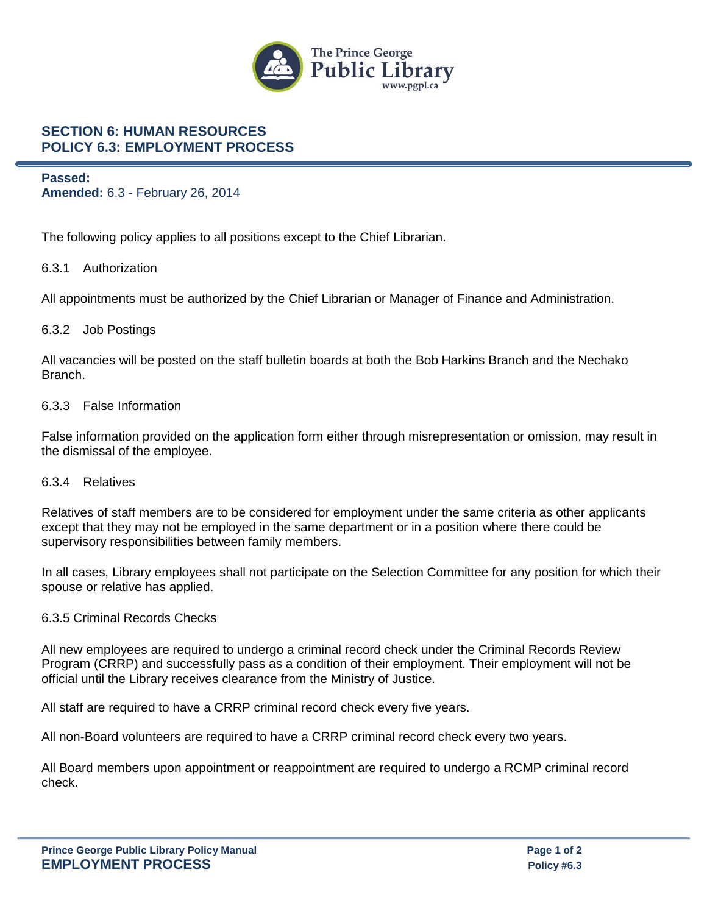

# **SECTION 6: HUMAN RESOURCES POLICY 6.3: EMPLOYMENT PROCESS**

**Passed: Amended:** 6.3 - February 26, 2014

The following policy applies to all positions except to the Chief Librarian.

## 6.3.1 Authorization

All appointments must be authorized by the Chief Librarian or Manager of Finance and Administration.

### 6.3.2 Job Postings

All vacancies will be posted on the staff bulletin boards at both the Bob Harkins Branch and the Nechako Branch.

### 6.3.3 False Information

False information provided on the application form either through misrepresentation or omission, may result in the dismissal of the employee.

#### 6.3.4 Relatives

Relatives of staff members are to be considered for employment under the same criteria as other applicants except that they may not be employed in the same department or in a position where there could be supervisory responsibilities between family members.

In all cases, Library employees shall not participate on the Selection Committee for any position for which their spouse or relative has applied.

#### 6.3.5 Criminal Records Checks

All new employees are required to undergo a criminal record check under the Criminal Records Review Program (CRRP) and successfully pass as a condition of their employment. Their employment will not be official until the Library receives clearance from the Ministry of Justice.

All staff are required to have a CRRP criminal record check every five years.

All non-Board volunteers are required to have a CRRP criminal record check every two years.

All Board members upon appointment or reappointment are required to undergo a RCMP criminal record check.